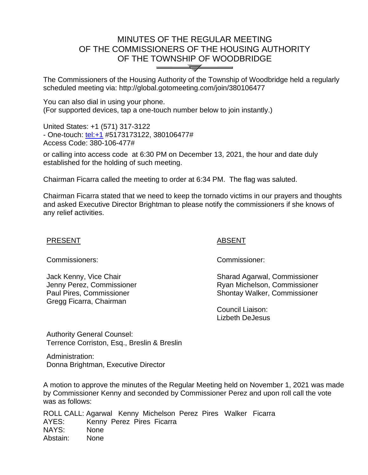# MINUTES OF THE REGULAR MEETING OF THE COMMISSIONERS OF THE HOUSING AUTHORITY OF THE TOWNSHIP OF WOODBRIDGE  $\bigvee$

The Commissioners of the Housing Authority of the Township of Woodbridge held a regularly scheduled meeting via: http://global.gotomeeting.com/join/380106477

You can also dial in using your phone. (For supported devices, tap a one-touch number below to join instantly.)

United States: +1 (571) 317-3122 - One-touch:<tel:+1> #5173173122, 380106477# Access Code: 380-106-477#

or calling into access code at 6:30 PM on December 13, 2021, the hour and date duly established for the holding of such meeting.

Chairman Ficarra called the meeting to order at 6:34 PM. The flag was saluted.

Chairman Ficarra stated that we need to keep the tornado victims in our prayers and thoughts and asked Executive Director Brightman to please notify the commissioners if she knows of any relief activities.

#### PRESENT Ξ

Commissioners: Commissioner:

Jack Kenny, Vice Chair Jenny Perez, Commissioner Paul Pires, Commissioner Gregg Ficarra, Chairman

## ABSENT

Sharad Agarwal, Commissioner Ryan Michelson, Commissioner Shontay Walker, Commissioner

Council Liaison: Lizbeth DeJesus

Authority General Counsel: Terrence Corriston, Esq., Breslin & Breslin

Administration: Donna Brightman, Executive Director

A motion to approve the minutes of the Regular Meeting held on November 1, 2021 was made by Commissioner Kenny and seconded by Commissioner Perez and upon roll call the vote was as follows:

ROLL CALL: Agarwal Kenny Michelson Perez Pires Walker Ficarra AYES: Kenny Perez Pires Ficarra NAYS: None Abstain: None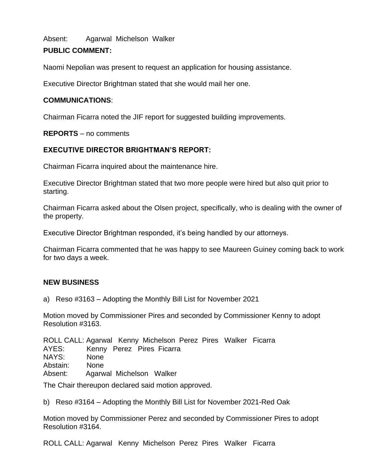Absent: Agarwal Michelson Walker

# **PUBLIC COMMENT:**

Naomi Nepolian was present to request an application for housing assistance.

Executive Director Brightman stated that she would mail her one.

## **COMMUNICATIONS**:

Chairman Ficarra noted the JIF report for suggested building improvements.

**REPORTS** – no comments

# **EXECUTIVE DIRECTOR BRIGHTMAN'S REPORT:**

Chairman Ficarra inquired about the maintenance hire.

Executive Director Brightman stated that two more people were hired but also quit prior to starting.

Chairman Ficarra asked about the Olsen project, specifically, who is dealing with the owner of the property.

Executive Director Brightman responded, it's being handled by our attorneys.

Chairman Ficarra commented that he was happy to see Maureen Guiney coming back to work for two days a week.

# **NEW BUSINESS**

a) Reso #3163 – Adopting the Monthly Bill List for November 2021

Motion moved by Commissioner Pires and seconded by Commissioner Kenny to adopt Resolution #3163.

ROLL CALL: Agarwal Kenny Michelson Perez Pires Walker Ficarra AYES: Kenny Perez Pires Ficarra NAYS: None Abstain: None Absent: Agarwal Michelson Walker

The Chair thereupon declared said motion approved.

b) Reso #3164 – Adopting the Monthly Bill List for November 2021-Red Oak

Motion moved by Commissioner Perez and seconded by Commissioner Pires to adopt Resolution #3164.

ROLL CALL: Agarwal Kenny Michelson Perez Pires Walker Ficarra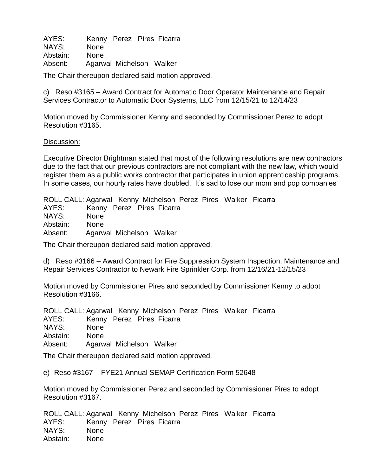AYES: Kenny Perez Pires Ficarra NAYS: None Abstain: None Absent: Agarwal Michelson Walker

The Chair thereupon declared said motion approved.

c) Reso #3165 – Award Contract for Automatic Door Operator Maintenance and Repair Services Contractor to Automatic Door Systems, LLC from 12/15/21 to 12/14/23

Motion moved by Commissioner Kenny and seconded by Commissioner Perez to adopt Resolution #3165.

#### Discussion:

Executive Director Brightman stated that most of the following resolutions are new contractors due to the fact that our previous contractors are not compliant with the new law, which would register them as a public works contractor that participates in union apprenticeship programs. In some cases, our hourly rates have doubled. It's sad to lose our mom and pop companies

ROLL CALL: Agarwal Kenny Michelson Perez Pires Walker Ficarra AYES: Kenny Perez Pires Ficarra NAYS: None Abstain: None Absent: Agarwal Michelson Walker

The Chair thereupon declared said motion approved.

d) Reso #3166 – Award Contract for Fire Suppression System Inspection, Maintenance and Repair Services Contractor to Newark Fire Sprinkler Corp. from 12/16/21-12/15/23

Motion moved by Commissioner Pires and seconded by Commissioner Kenny to adopt Resolution #3166.

ROLL CALL: Agarwal Kenny Michelson Perez Pires Walker Ficarra AYES: Kenny Perez Pires Ficarra NAYS: None Abstain: None Absent: Agarwal Michelson Walker

The Chair thereupon declared said motion approved.

e) Reso #3167 – FYE21 Annual SEMAP Certification Form 52648

Motion moved by Commissioner Perez and seconded by Commissioner Pires to adopt Resolution #3167.

ROLL CALL: Agarwal Kenny Michelson Perez Pires Walker Ficarra AYES: Kenny Perez Pires Ficarra NAYS: None Abstain: None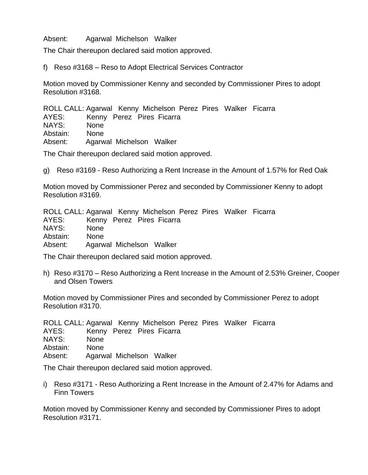Absent: Agarwal Michelson Walker

The Chair thereupon declared said motion approved.

f) Reso #3168 – Reso to Adopt Electrical Services Contractor

Motion moved by Commissioner Kenny and seconded by Commissioner Pires to adopt Resolution #3168.

ROLL CALL: Agarwal Kenny Michelson Perez Pires Walker Ficarra AYES: Kenny Perez Pires Ficarra NAYS: None Abstain: None Absent: Agarwal Michelson Walker

The Chair thereupon declared said motion approved.

g) Reso #3169 - Reso Authorizing a Rent Increase in the Amount of 1.57% for Red Oak

Motion moved by Commissioner Perez and seconded by Commissioner Kenny to adopt Resolution #3169.

ROLL CALL: Agarwal Kenny Michelson Perez Pires Walker Ficarra AYES: Kenny Perez Pires Ficarra NAYS: None Abstain: None Absent: Agarwal Michelson Walker

The Chair thereupon declared said motion approved.

h) Reso #3170 – Reso Authorizing a Rent Increase in the Amount of 2.53% Greiner, Cooper and Olsen Towers

Motion moved by Commissioner Pires and seconded by Commissioner Perez to adopt Resolution #3170.

ROLL CALL: Agarwal Kenny Michelson Perez Pires Walker Ficarra

AYES: Kenny Perez Pires Ficarra

NAYS: None

Abstain: None

Absent: Agarwal Michelson Walker

The Chair thereupon declared said motion approved.

i) Reso #3171 - Reso Authorizing a Rent Increase in the Amount of 2.47% for Adams and Finn Towers

Motion moved by Commissioner Kenny and seconded by Commissioner Pires to adopt Resolution #3171.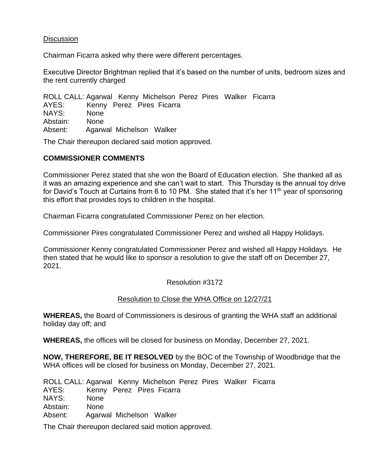### **Discussion**

Chairman Ficarra asked why there were different percentages.

Executive Director Brightman replied that it's based on the number of units, bedroom sizes and the rent currently charged

ROLL CALL: Agarwal Kenny Michelson Perez Pires Walker Ficarra AYES: Kenny Perez Pires Ficarra NAYS: None Abstain: None Absent: Agarwal Michelson Walker

The Chair thereupon declared said motion approved.

### **COMMISSIONER COMMENTS**

Commissioner Perez stated that she won the Board of Education election. She thanked all as it was an amazing experience and she can't wait to start. This Thursday is the annual toy drive for David's Touch at Curtains from 6 to 10 PM. She stated that it's her 11<sup>th</sup> year of sponsoring this effort that provides toys to children in the hospital.

Chairman Ficarra congratulated Commissioner Perez on her election.

Commissioner Pires congratulated Commissioner Perez and wished all Happy Holidays.

Commissioner Kenny congratulated Commissioner Perez and wished all Happy Holidays. He then stated that he would like to sponsor a resolution to give the staff off on December 27, 2021.

### Resolution #3172

### Resolution to Close the WHA Office on 12/27/21

**WHEREAS,** the Board of Commissioners is desirous of granting the WHA staff an additional holiday day off; and

**WHEREAS,** the offices will be closed for business on Monday, December 27, 2021.

**NOW, THEREFORE, BE IT RESOLVED** by the BOC of the Township of Woodbridge that the WHA offices will be closed for business on Monday, December 27, 2021.

ROLL CALL: Agarwal Kenny Michelson Perez Pires Walker Ficarra AYES: Kenny Perez Pires Ficarra NAYS: None Abstain: None Absent: Agarwal Michelson Walker

The Chair thereupon declared said motion approved.